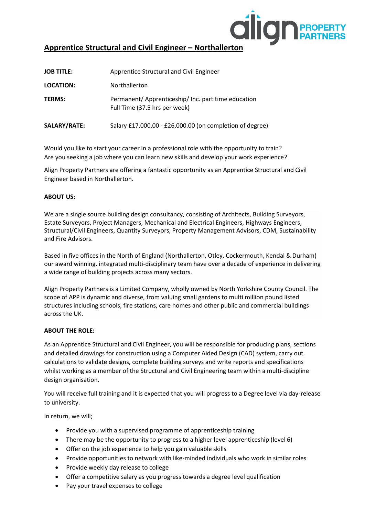

# **Apprentice Structural and Civil Engineer – Northallerton**

| <b>JOB TITLE:</b> | Apprentice Structural and Civil Engineer                                             |
|-------------------|--------------------------------------------------------------------------------------|
| <b>LOCATION:</b>  | Northallerton                                                                        |
| <b>TERMS:</b>     | Permanent/ Apprenticeship/ Inc. part time education<br>Full Time (37.5 hrs per week) |
| SALARY/RATE:      | Salary £17,000.00 - £26,000.00 (on completion of degree)                             |

Would you like to start your career in a professional role with the opportunity to train? Are you seeking a job where you can learn new skills and develop your work experience?

Align Property Partners are offering a fantastic opportunity as an Apprentice Structural and Civil Engineer based in Northallerton.

# **ABOUT US:**

We are a single source building design consultancy, consisting of Architects, Building Surveyors, Estate Surveyors, Project Managers, Mechanical and Electrical Engineers, Highways Engineers, Structural/Civil Engineers, Quantity Surveyors, Property Management Advisors, CDM, Sustainability and Fire Advisors.

Based in five offices in the North of England (Northallerton, Otley, Cockermouth, Kendal & Durham) our award winning, integrated multi-disciplinary team have over a decade of experience in delivering a wide range of building projects across many sectors.

Align Property Partners is a Limited Company, wholly owned by North Yorkshire County Council. The scope of APP is dynamic and diverse, from valuing small gardens to multi million pound listed structures including schools, fire stations, care homes and other public and commercial buildings across the UK.

# **ABOUT THE ROLE:**

As an Apprentice Structural and Civil Engineer, you will be responsible for producing plans, sections and detailed drawings for construction using a Computer Aided Design (CAD) system, carry out calculations to validate designs, complete building surveys and write reports and specifications whilst working as a member of the Structural and Civil Engineering team within a multi-discipline design organisation.

You will receive full training and it is expected that you will progress to a Degree level via day-release to university.

In return, we will;

- Provide you with a supervised programme of apprenticeship training
- There may be the opportunity to progress to a higher level apprenticeship (level 6)
- Offer on the job experience to help you gain valuable skills
- Provide opportunities to network with like-minded individuals who work in similar roles
- Provide weekly day release to college
- Offer a competitive salary as you progress towards a degree level qualification
- Pay your travel expenses to college